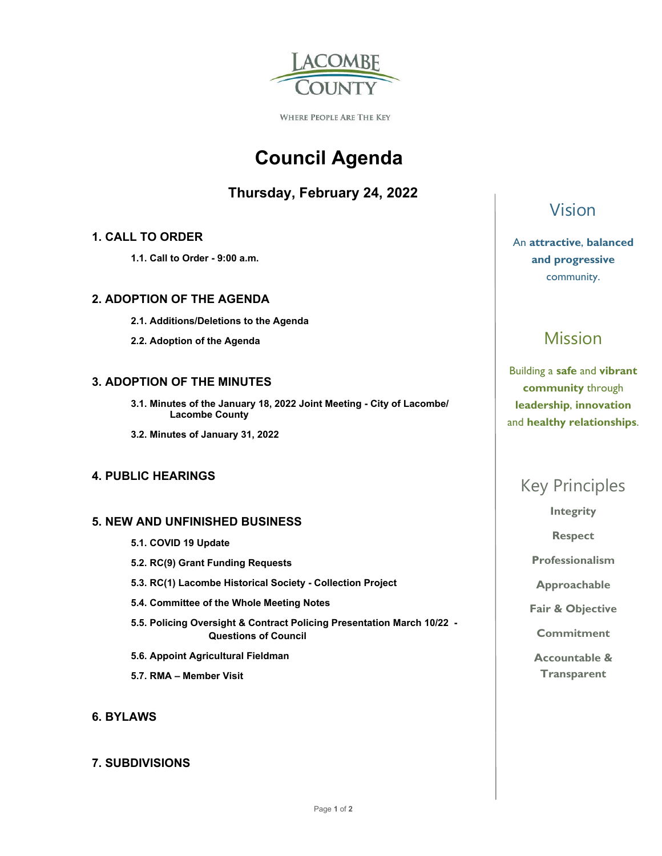

WHERE PEOPLE ARE THE KEY

# **Council Agenda**

# **Thursday, February 24, 2022**

### **1. CALL TO ORDER**

 **1.1. Call to Order - 9:00 a.m.** 

#### **2. ADOPTION OF THE AGENDA**

- **2.1. Additions/Deletions to the Agenda**
- **2.2. Adoption of the Agenda**

### **3. ADOPTION OF THE MINUTES**

- **3.1. Minutes of the January 18, 2022 Joint Meeting City of Lacombe/ Lacombe County**
- **3.2. Minutes of January 31, 2022**

### **4. PUBLIC HEARINGS**

#### **5. NEW AND UNFINISHED BUSINESS**

- **5.1. COVID 19 Update**
- **5.2. RC(9) Grant Funding Requests**
- **5.3. RC(1) Lacombe Historical Society Collection Project**
- **5.4. Committee of the Whole Meeting Notes**
- **5.5. Policing Oversight & Contract Policing Presentation March 10/22 Questions of Council**
- **5.6. Appoint Agricultural Fieldman**
- **5.7. RMA Member Visit**

### **6. BYLAWS**

#### **7. SUBDIVISIONS**

# Vision

An **attractive**, **balanced and progressive**  community.

# Mission

Building a **safe** and **vibrant community** through **leadership**, **innovation**  and **healthy relationships**.

# Key Principles

**Integrity** 

**Respect** 

**Professionalism** 

**Approachable** 

**Fair & Objective** 

**Commitment** 

**Accountable & Transparent**